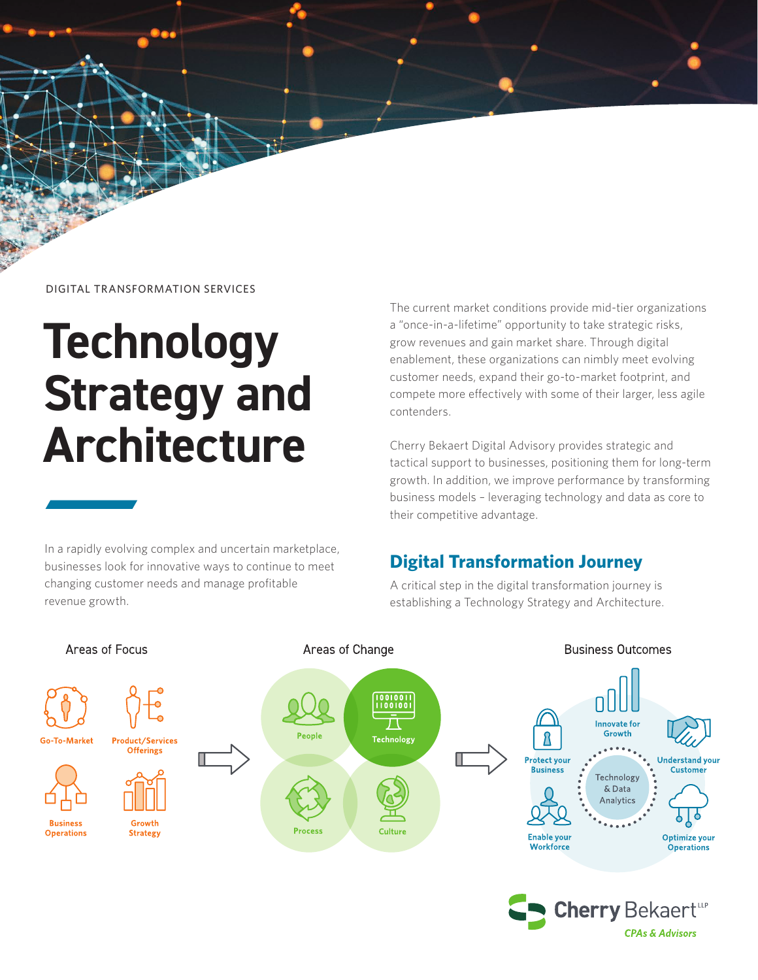

DIGITAL TRANSFORMATION SERVICES

# **Technology Strategy and Architecture**

In a rapidly evolving complex and uncertain marketplace, businesses look for innovative ways to continue to meet changing customer needs and manage profitable revenue growth.

The current market conditions provide mid-tier organizations a "once-in-a-lifetime" opportunity to take strategic risks, grow revenues and gain market share. Through digital enablement, these organizations can nimbly meet evolving customer needs, expand their go-to-market footprint, and compete more effectively with some of their larger, less agile contenders.

Cherry Bekaert Digital Advisory provides strategic and tactical support to businesses, positioning them for long-term growth. In addition, we improve performance by transforming business models – leveraging technology and data as core to their competitive advantage.

#### **Digital Transformation Journey**

A critical step in the digital transformation journey is establishing a Technology Strategy and Architecture.



**CPAs & Advisors**